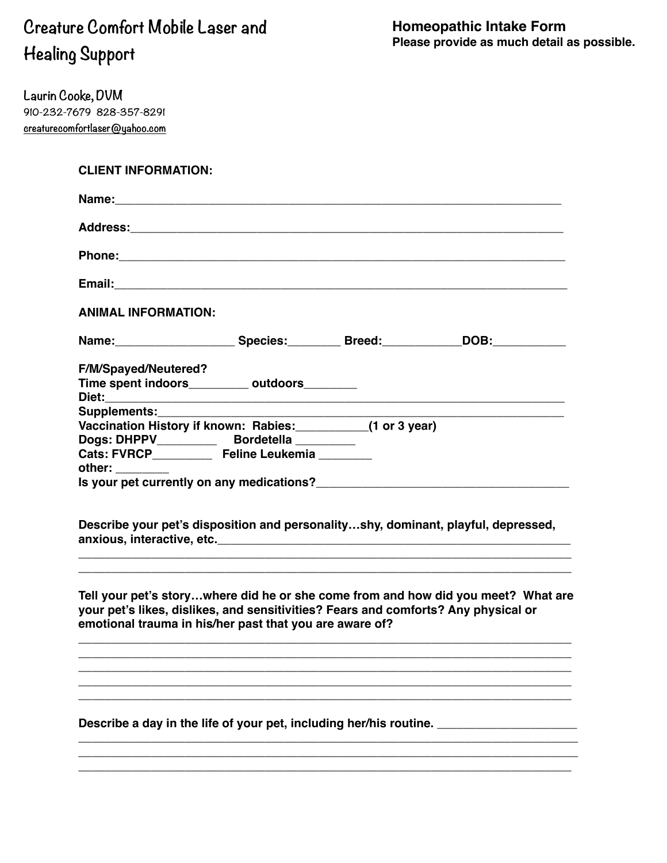## **Creature Comfort Mobile Laser and Healing Support**

**Laurin Cooke, DVM 910-232-7679 828-357-8291 [creaturecomfortlaser@yahoo.com](mailto:creaturecomfortlaser@yahoo.com)**

## **CLIENT INFORMATION:**

| <b>ANIMAL INFORMATION:</b>                                                                                                                                                                        |  |                                                                                                     |
|---------------------------------------------------------------------------------------------------------------------------------------------------------------------------------------------------|--|-----------------------------------------------------------------------------------------------------|
|                                                                                                                                                                                                   |  | Name: __________________________Species: ____________Breed: ______________DOB: ____________________ |
| <b>F/M/Spayed/Neutered?</b><br>Time spent indoors__________ outdoors________                                                                                                                      |  |                                                                                                     |
| Supplements:<br>Vaccination History if known: Rabies: _________(1 or 3 year)<br>Dogs: DHPPV____________ Bordetella _________<br>Cats: FVRCP__________ Feline Leukemia ________<br>other: ________ |  |                                                                                                     |
|                                                                                                                                                                                                   |  | Describe your pet's disposition and personalityshy, dominant, playful, depressed,                   |
| your pet's likes, dislikes, and sensitivities? Fears and comforts? Any physical or<br>emotional trauma in his/her past that you are aware of?                                                     |  | Tell your pet's storywhere did he or she come from and how did you meet? What are                   |
| Describe a day in the life of your pet, including her/his routine.                                                                                                                                |  |                                                                                                     |